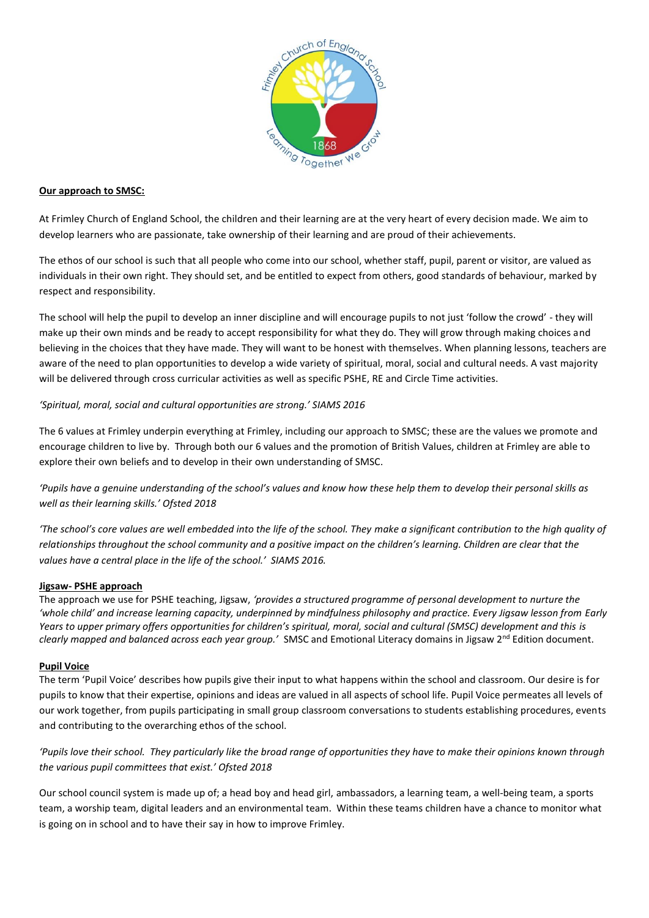

## **Our approach to SMSC:**

At Frimley Church of England School, the children and their learning are at the very heart of every decision made. We aim to develop learners who are passionate, take ownership of their learning and are proud of their achievements.

The ethos of our school is such that all people who come into our school, whether staff, pupil, parent or visitor, are valued as individuals in their own right. They should set, and be entitled to expect from others, good standards of behaviour, marked by respect and responsibility.

The school will help the pupil to develop an inner discipline and will encourage pupils to not just 'follow the crowd' - they will make up their own minds and be ready to accept responsibility for what they do. They will grow through making choices and believing in the choices that they have made. They will want to be honest with themselves. When planning lessons, teachers are aware of the need to plan opportunities to develop a wide variety of spiritual, moral, social and cultural needs. A vast majority will be delivered through cross curricular activities as well as specific PSHE, RE and Circle Time activities.

# *'Spiritual, moral, social and cultural opportunities are strong.' SIAMS 2016*

The 6 values at Frimley underpin everything at Frimley, including our approach to SMSC; these are the values we promote and encourage children to live by. Through both our 6 values and the promotion of British Values, children at Frimley are able to explore their own beliefs and to develop in their own understanding of SMSC.

*'Pupils have a genuine understanding of the school's values and know how these help them to develop their personal skills as well as their learning skills.' Ofsted 2018*

*'The school's core values are well embedded into the life of the school. They make a significant contribution to the high quality of relationships throughout the school community and a positive impact on the children's learning. Children are clear that the values have a central place in the life of the school.' SIAMS 2016.*

#### **Jigsaw- PSHE approach**

The approach we use for PSHE teaching, Jigsaw, *'provides a structured programme of personal development to nurture the 'whole child' and increase learning capacity, underpinned by mindfulness philosophy and practice. Every Jigsaw lesson from Early Years to upper primary offers opportunities for children's spiritual, moral, social and cultural (SMSC) development and this is clearly mapped and balanced across each year group.'* SMSC and Emotional Literacy domains in Jigsaw 2<sup>nd</sup> Edition document.

#### **Pupil Voice**

The term 'Pupil Voice' describes how pupils give their input to what happens within the school and classroom. Our desire is for pupils to know that their expertise, opinions and ideas are valued in all aspects of school life. Pupil Voice permeates all levels of our work together, from pupils participating in small group classroom conversations to students establishing procedures, events and contributing to the overarching ethos of the school.

*'Pupils love their school. They particularly like the broad range of opportunities they have to make their opinions known through the various pupil committees that exist.' Ofsted 2018*

Our school council system is made up of; a head boy and head girl, ambassadors, a learning team, a well-being team, a sports team, a worship team, digital leaders and an environmental team. Within these teams children have a chance to monitor what is going on in school and to have their say in how to improve Frimley.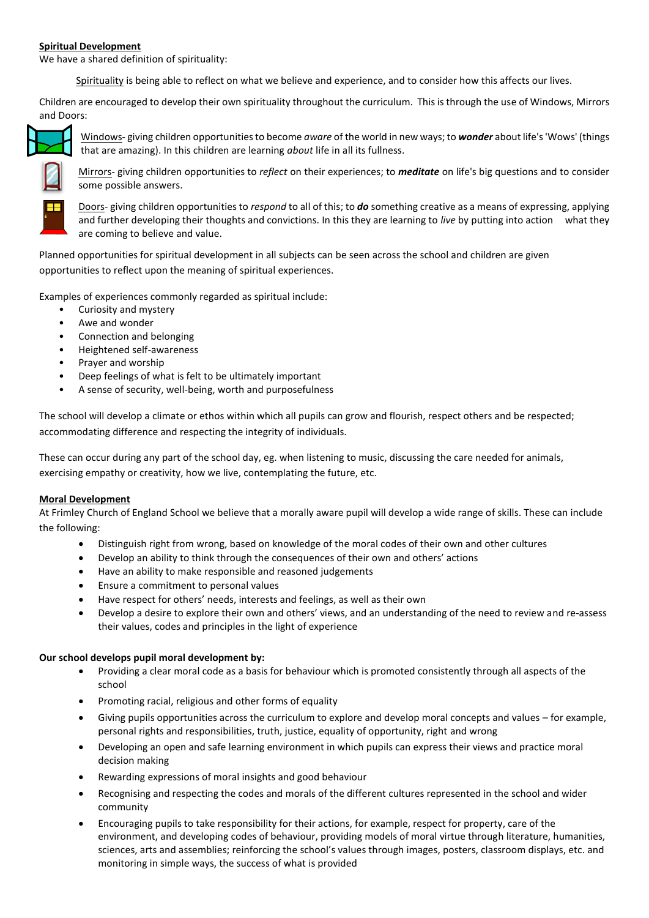## **Spiritual Development**

We have a shared definition of spirituality:

Spirituality is being able to reflect on what we believe and experience, and to consider how this affects our lives.

Children are encouraged to develop their own spirituality throughout the curriculum. This is through the use of Windows, Mirrors and Doors:



Windows- giving children opportunities to become *aware* of the world in new ways; to *wonder* about life's 'Wows' (things that are amazing). In this children are learning *about* life in all its fullness.



Mirrors- giving children opportunities to *reflect* on their experiences; to *meditate* on life's big questions and to consider some possible answers.

Doors- giving children opportunities to *respond* to all of this; to *do* something creative as a means of expressing, applying and further developing their thoughts and convictions. In this they are learning to *live* by putting into action what they are coming to believe and value.

Planned opportunities for spiritual development in all subjects can be seen across the school and children are given opportunities to reflect upon the meaning of spiritual experiences.

Examples of experiences commonly regarded as spiritual include:

- Curiosity and mystery
- Awe and wonder
- Connection and belonging
- Heightened self-awareness
- Prayer and worship
- Deep feelings of what is felt to be ultimately important
- A sense of security, well-being, worth and purposefulness

The school will develop a climate or ethos within which all pupils can grow and flourish, respect others and be respected; accommodating difference and respecting the integrity of individuals.

These can occur during any part of the school day, eg. when listening to music, discussing the care needed for animals, exercising empathy or creativity, how we live, contemplating the future, etc.

#### **Moral Development**

At Frimley Church of England School we believe that a morally aware pupil will develop a wide range of skills. These can include the following:

- Distinguish right from wrong, based on knowledge of the moral codes of their own and other cultures
- Develop an ability to think through the consequences of their own and others' actions
- Have an ability to make responsible and reasoned judgements
- Ensure a commitment to personal values
- Have respect for others' needs, interests and feelings, as well as their own
- Develop a desire to explore their own and others' views, and an understanding of the need to review and re-assess their values, codes and principles in the light of experience

#### **Our school develops pupil moral development by:**

- Providing a clear moral code as a basis for behaviour which is promoted consistently through all aspects of the school
- Promoting racial, religious and other forms of equality
- Giving pupils opportunities across the curriculum to explore and develop moral concepts and values for example, personal rights and responsibilities, truth, justice, equality of opportunity, right and wrong
- Developing an open and safe learning environment in which pupils can express their views and practice moral decision making
- Rewarding expressions of moral insights and good behaviour
- Recognising and respecting the codes and morals of the different cultures represented in the school and wider community
- Encouraging pupils to take responsibility for their actions, for example, respect for property, care of the environment, and developing codes of behaviour, providing models of moral virtue through literature, humanities, sciences, arts and assemblies; reinforcing the school's values through images, posters, classroom displays, etc. and monitoring in simple ways, the success of what is provided